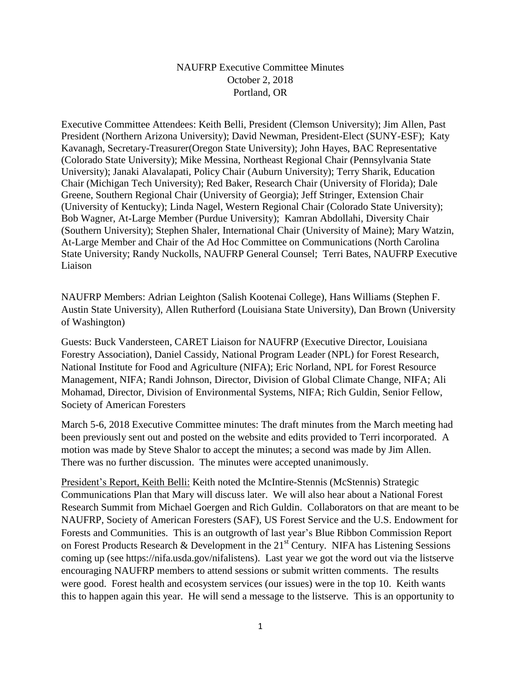## NAUFRP Executive Committee Minutes October 2, 2018 Portland, OR

Executive Committee Attendees: Keith Belli, President (Clemson University); Jim Allen, Past President (Northern Arizona University); David Newman, President-Elect (SUNY-ESF); Katy Kavanagh, Secretary-Treasurer(Oregon State University); John Hayes, BAC Representative (Colorado State University); Mike Messina, Northeast Regional Chair (Pennsylvania State University); Janaki Alavalapati, Policy Chair (Auburn University); Terry Sharik, Education Chair (Michigan Tech University); Red Baker, Research Chair (University of Florida); Dale Greene, Southern Regional Chair (University of Georgia); Jeff Stringer, Extension Chair (University of Kentucky); Linda Nagel, Western Regional Chair (Colorado State University); Bob Wagner, At-Large Member (Purdue University); Kamran Abdollahi, Diversity Chair (Southern University); Stephen Shaler, International Chair (University of Maine); Mary Watzin, At-Large Member and Chair of the Ad Hoc Committee on Communications (North Carolina State University; Randy Nuckolls, NAUFRP General Counsel; Terri Bates, NAUFRP Executive Liaison

NAUFRP Members: Adrian Leighton (Salish Kootenai College), Hans Williams (Stephen F. Austin State University), Allen Rutherford (Louisiana State University), Dan Brown (University of Washington)

Guests: Buck Vandersteen, CARET Liaison for NAUFRP (Executive Director, Louisiana Forestry Association), Daniel Cassidy, National Program Leader (NPL) for Forest Research, National Institute for Food and Agriculture (NIFA); Eric Norland, NPL for Forest Resource Management, NIFA; Randi Johnson, Director, Division of Global Climate Change, NIFA; Ali Mohamad, Director, Division of Environmental Systems, NIFA; Rich Guldin, Senior Fellow, Society of American Foresters

March 5-6, 2018 Executive Committee minutes: The draft minutes from the March meeting had been previously sent out and posted on the website and edits provided to Terri incorporated. A motion was made by Steve Shalor to accept the minutes; a second was made by Jim Allen. There was no further discussion. The minutes were accepted unanimously.

President's Report, Keith Belli: Keith noted the McIntire-Stennis (McStennis) Strategic Communications Plan that Mary will discuss later. We will also hear about a National Forest Research Summit from Michael Goergen and Rich Guldin. Collaborators on that are meant to be NAUFRP, Society of American Foresters (SAF), US Forest Service and the U.S. Endowment for Forests and Communities. This is an outgrowth of last year's Blue Ribbon Commission Report on Forest Products Research & Development in the  $21<sup>st</sup>$  Century. NIFA has Listening Sessions coming up (see https://nifa.usda.gov/nifalistens). Last year we got the word out via the listserve encouraging NAUFRP members to attend sessions or submit written comments. The results were good. Forest health and ecosystem services (our issues) were in the top 10. Keith wants this to happen again this year. He will send a message to the listserve. This is an opportunity to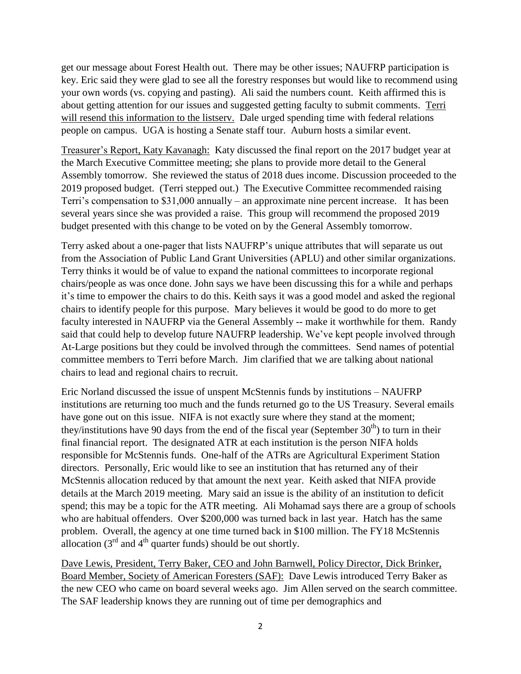get our message about Forest Health out. There may be other issues; NAUFRP participation is key. Eric said they were glad to see all the forestry responses but would like to recommend using your own words (vs. copying and pasting). Ali said the numbers count. Keith affirmed this is about getting attention for our issues and suggested getting faculty to submit comments. Terri will resend this information to the listserv. Dale urged spending time with federal relations people on campus. UGA is hosting a Senate staff tour. Auburn hosts a similar event.

Treasurer's Report, Katy Kavanagh: Katy discussed the final report on the 2017 budget year at the March Executive Committee meeting; she plans to provide more detail to the General Assembly tomorrow. She reviewed the status of 2018 dues income. Discussion proceeded to the 2019 proposed budget. (Terri stepped out.) The Executive Committee recommended raising Terri's compensation to \$31,000 annually – an approximate nine percent increase. It has been several years since she was provided a raise. This group will recommend the proposed 2019 budget presented with this change to be voted on by the General Assembly tomorrow.

Terry asked about a one-pager that lists NAUFRP's unique attributes that will separate us out from the Association of Public Land Grant Universities (APLU) and other similar organizations. Terry thinks it would be of value to expand the national committees to incorporate regional chairs/people as was once done. John says we have been discussing this for a while and perhaps it's time to empower the chairs to do this. Keith says it was a good model and asked the regional chairs to identify people for this purpose.Mary believes it would be good to do more to get faculty interested in NAUFRP via the General Assembly -- make it worthwhile for them. Randy said that could help to develop future NAUFRP leadership. We've kept people involved through At-Large positions but they could be involved through the committees. Send names of potential committee members to Terri before March. Jim clarified that we are talking about national chairs to lead and regional chairs to recruit.

Eric Norland discussed the issue of unspent McStennis funds by institutions – NAUFRP institutions are returning too much and the funds returned go to the US Treasury. Several emails have gone out on this issue. NIFA is not exactly sure where they stand at the moment; they/institutions have 90 days from the end of the fiscal year (September  $30<sup>th</sup>$ ) to turn in their final financial report. The designated ATR at each institution is the person NIFA holds responsible for McStennis funds. One-half of the ATRs are Agricultural Experiment Station directors. Personally, Eric would like to see an institution that has returned any of their McStennis allocation reduced by that amount the next year. Keith asked that NIFA provide details at the March 2019 meeting. Mary said an issue is the ability of an institution to deficit spend; this may be a topic for the ATR meeting. Ali Mohamad says there are a group of schools who are habitual offenders. Over \$200,000 was turned back in last year. Hatch has the same problem. Overall, the agency at one time turned back in \$100 million. The FY18 McStennis allocation  $(3<sup>rd</sup>$  and  $4<sup>th</sup>$  quarter funds) should be out shortly.

Dave Lewis, President, Terry Baker, CEO and John Barnwell, Policy Director, Dick Brinker, Board Member, Society of American Foresters (SAF): Dave Lewis introduced Terry Baker as the new CEO who came on board several weeks ago. Jim Allen served on the search committee. The SAF leadership knows they are running out of time per demographics and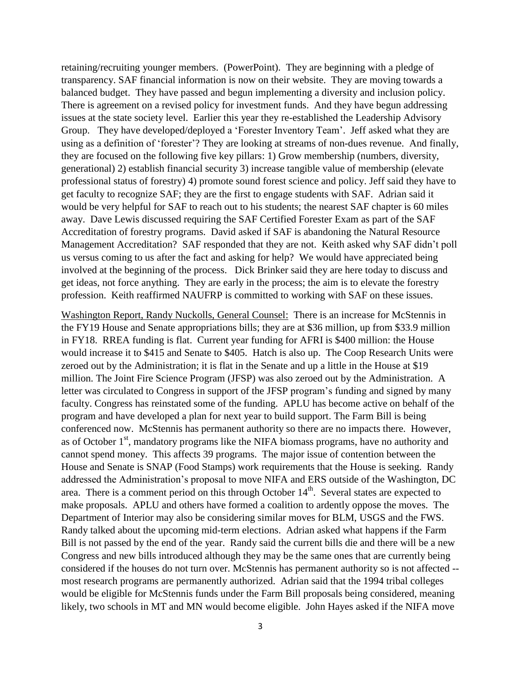retaining/recruiting younger members. (PowerPoint). They are beginning with a pledge of transparency. SAF financial information is now on their website. They are moving towards a balanced budget. They have passed and begun implementing a diversity and inclusion policy. There is agreement on a revised policy for investment funds. And they have begun addressing issues at the state society level. Earlier this year they re-established the Leadership Advisory Group. They have developed/deployed a 'Forester Inventory Team'. Jeff asked what they are using as a definition of 'forester'? They are looking at streams of non-dues revenue. And finally, they are focused on the following five key pillars: 1) Grow membership (numbers, diversity, generational) 2) establish financial security 3) increase tangible value of membership (elevate professional status of forestry) 4) promote sound forest science and policy. Jeff said they have to get faculty to recognize SAF; they are the first to engage students with SAF. Adrian said it would be very helpful for SAF to reach out to his students; the nearest SAF chapter is 60 miles away. Dave Lewis discussed requiring the SAF Certified Forester Exam as part of the SAF Accreditation of forestry programs. David asked if SAF is abandoning the Natural Resource Management Accreditation? SAF responded that they are not. Keith asked why SAF didn't poll us versus coming to us after the fact and asking for help? We would have appreciated being involved at the beginning of the process. Dick Brinker said they are here today to discuss and get ideas, not force anything. They are early in the process; the aim is to elevate the forestry profession. Keith reaffirmed NAUFRP is committed to working with SAF on these issues.

Washington Report, Randy Nuckolls, General Counsel: There is an increase for McStennis in the FY19 House and Senate appropriations bills; they are at \$36 million, up from \$33.9 million in FY18. RREA funding is flat. Current year funding for AFRI is \$400 million: the House would increase it to \$415 and Senate to \$405. Hatch is also up. The Coop Research Units were zeroed out by the Administration; it is flat in the Senate and up a little in the House at \$19 million. The Joint Fire Science Program (JFSP) was also zeroed out by the Administration. A letter was circulated to Congress in support of the JFSP program's funding and signed by many faculty. Congress has reinstated some of the funding. APLU has become active on behalf of the program and have developed a plan for next year to build support. The Farm Bill is being conferenced now. McStennis has permanent authority so there are no impacts there. However, as of October  $1<sup>st</sup>$ , mandatory programs like the NIFA biomass programs, have no authority and cannot spend money. This affects 39 programs. The major issue of contention between the House and Senate is SNAP (Food Stamps) work requirements that the House is seeking. Randy addressed the Administration's proposal to move NIFA and ERS outside of the Washington, DC area. There is a comment period on this through October 14<sup>th</sup>. Several states are expected to make proposals. APLU and others have formed a coalition to ardently oppose the moves. The Department of Interior may also be considering similar moves for BLM, USGS and the FWS. Randy talked about the upcoming mid-term elections. Adrian asked what happens if the Farm Bill is not passed by the end of the year. Randy said the current bills die and there will be a new Congress and new bills introduced although they may be the same ones that are currently being considered if the houses do not turn over. McStennis has permanent authority so is not affected - most research programs are permanently authorized. Adrian said that the 1994 tribal colleges would be eligible for McStennis funds under the Farm Bill proposals being considered, meaning likely, two schools in MT and MN would become eligible. John Hayes asked if the NIFA move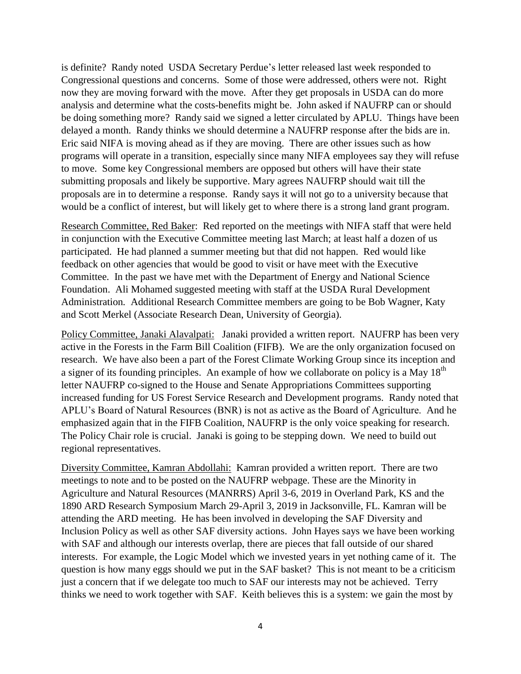is definite? Randy noted USDA Secretary Perdue's letter released last week responded to Congressional questions and concerns. Some of those were addressed, others were not. Right now they are moving forward with the move. After they get proposals in USDA can do more analysis and determine what the costs-benefits might be. John asked if NAUFRP can or should be doing something more? Randy said we signed a letter circulated by APLU. Things have been delayed a month. Randy thinks we should determine a NAUFRP response after the bids are in. Eric said NIFA is moving ahead as if they are moving. There are other issues such as how programs will operate in a transition, especially since many NIFA employees say they will refuse to move. Some key Congressional members are opposed but others will have their state submitting proposals and likely be supportive. Mary agrees NAUFRP should wait till the proposals are in to determine a response. Randy says it will not go to a university because that would be a conflict of interest, but will likely get to where there is a strong land grant program.

Research Committee, Red Baker: Red reported on the meetings with NIFA staff that were held in conjunction with the Executive Committee meeting last March; at least half a dozen of us participated. He had planned a summer meeting but that did not happen. Red would like feedback on other agencies that would be good to visit or have meet with the Executive Committee. In the past we have met with the Department of Energy and National Science Foundation. Ali Mohamed suggested meeting with staff at the USDA Rural Development Administration*.* Additional Research Committee members are going to be Bob Wagner, Katy and Scott Merkel (Associate Research Dean, University of Georgia).

Policy Committee, Janaki Alavalpati: Janaki provided a written report. NAUFRP has been very active in the Forests in the Farm Bill Coalition (FIFB). We are the only organization focused on research. We have also been a part of the Forest Climate Working Group since its inception and a signer of its founding principles. An example of how we collaborate on policy is a May  $18<sup>th</sup>$ letter NAUFRP co-signed to the House and Senate Appropriations Committees supporting increased funding for US Forest Service Research and Development programs. Randy noted that APLU's Board of Natural Resources (BNR) is not as active as the Board of Agriculture. And he emphasized again that in the FIFB Coalition, NAUFRP is the only voice speaking for research. The Policy Chair role is crucial. Janaki is going to be stepping down. We need to build out regional representatives.

Diversity Committee, Kamran Abdollahi: Kamran provided a written report. There are two meetings to note and to be posted on the NAUFRP webpage. These are the Minority in Agriculture and Natural Resources (MANRRS) April 3-6, 2019 in Overland Park, KS and the 1890 ARD Research Symposium March 29-April 3, 2019 in Jacksonville, FL. Kamran will be attending the ARD meeting. He has been involved in developing the SAF Diversity and Inclusion Policy as well as other SAF diversity actions. John Hayes says we have been working with SAF and although our interests overlap, there are pieces that fall outside of our shared interests. For example, the Logic Model which we invested years in yet nothing came of it. The question is how many eggs should we put in the SAF basket? This is not meant to be a criticism just a concern that if we delegate too much to SAF our interests may not be achieved. Terry thinks we need to work together with SAF. Keith believes this is a system: we gain the most by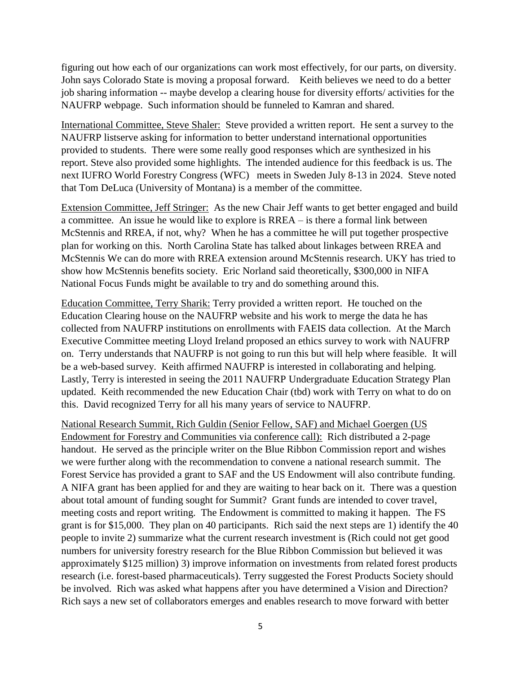figuring out how each of our organizations can work most effectively, for our parts, on diversity. John says Colorado State is moving a proposal forward. Keith believes we need to do a better job sharing information -- maybe develop a clearing house for diversity efforts/ activities for the NAUFRP webpage. Such information should be funneled to Kamran and shared.

International Committee, Steve Shaler: Steve provided a written report. He sent a survey to the NAUFRP listserve asking for information to better understand international opportunities provided to students. There were some really good responses which are synthesized in his report. Steve also provided some highlights. The intended audience for this feedback is us. The next IUFRO World Forestry Congress (WFC) meets in Sweden July 8-13 in 2024. Steve noted that Tom DeLuca (University of Montana) is a member of the committee.

Extension Committee, Jeff Stringer: As the new Chair Jeff wants to get better engaged and build a committee. An issue he would like to explore is RREA – is there a formal link between McStennis and RREA, if not, why? When he has a committee he will put together prospective plan for working on this. North Carolina State has talked about linkages between RREA and McStennis We can do more with RREA extension around McStennis research. UKY has tried to show how McStennis benefits society. Eric Norland said theoretically, \$300,000 in NIFA National Focus Funds might be available to try and do something around this.

Education Committee, Terry Sharik: Terry provided a written report. He touched on the Education Clearing house on the NAUFRP website and his work to merge the data he has collected from NAUFRP institutions on enrollments with FAEIS data collection. At the March Executive Committee meeting Lloyd Ireland proposed an ethics survey to work with NAUFRP on. Terry understands that NAUFRP is not going to run this but will help where feasible. It will be a web-based survey. Keith affirmed NAUFRP is interested in collaborating and helping. Lastly, Terry is interested in seeing the 2011 NAUFRP Undergraduate Education Strategy Plan updated. Keith recommended the new Education Chair (tbd) work with Terry on what to do on this. David recognized Terry for all his many years of service to NAUFRP.

National Research Summit, Rich Guldin (Senior Fellow, SAF) and Michael Goergen (US Endowment for Forestry and Communities via conference call): Rich distributed a 2-page handout. He served as the principle writer on the Blue Ribbon Commission report and wishes we were further along with the recommendation to convene a national research summit. The Forest Service has provided a grant to SAF and the US Endowment will also contribute funding. A NIFA grant has been applied for and they are waiting to hear back on it. There was a question about total amount of funding sought for Summit? Grant funds are intended to cover travel, meeting costs and report writing. The Endowment is committed to making it happen. The FS grant is for \$15,000. They plan on 40 participants. Rich said the next steps are 1) identify the 40 people to invite 2) summarize what the current research investment is (Rich could not get good numbers for university forestry research for the Blue Ribbon Commission but believed it was approximately \$125 million) 3) improve information on investments from related forest products research (i.e. forest-based pharmaceuticals). Terry suggested the Forest Products Society should be involved. Rich was asked what happens after you have determined a Vision and Direction? Rich says a new set of collaborators emerges and enables research to move forward with better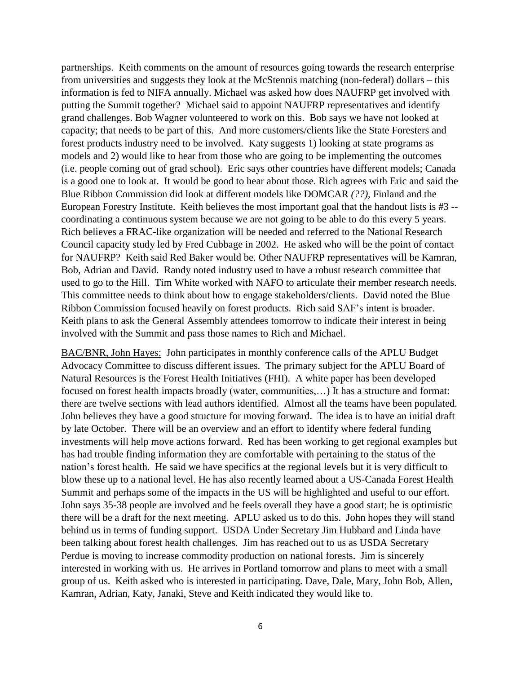partnerships. Keith comments on the amount of resources going towards the research enterprise from universities and suggests they look at the McStennis matching (non-federal) dollars – this information is fed to NIFA annually. Michael was asked how does NAUFRP get involved with putting the Summit together? Michael said to appoint NAUFRP representatives and identify grand challenges. Bob Wagner volunteered to work on this. Bob says we have not looked at capacity; that needs to be part of this. And more customers/clients like the State Foresters and forest products industry need to be involved. Katy suggests 1) looking at state programs as models and 2) would like to hear from those who are going to be implementing the outcomes (i.e. people coming out of grad school). Eric says other countries have different models; Canada is a good one to look at. It would be good to hear about those. Rich agrees with Eric and said the Blue Ribbon Commission did look at different models like DOMCAR *(??),* Finland and the European Forestry Institute. Keith believes the most important goal that the handout lists is #3 - coordinating a continuous system because we are not going to be able to do this every 5 years. Rich believes a FRAC-like organization will be needed and referred to the National Research Council capacity study led by Fred Cubbage in 2002. He asked who will be the point of contact for NAUFRP? Keith said Red Baker would be. Other NAUFRP representatives will be Kamran, Bob, Adrian and David. Randy noted industry used to have a robust research committee that used to go to the Hill. Tim White worked with NAFO to articulate their member research needs. This committee needs to think about how to engage stakeholders/clients. David noted the Blue Ribbon Commission focused heavily on forest products. Rich said SAF's intent is broader. Keith plans to ask the General Assembly attendees tomorrow to indicate their interest in being involved with the Summit and pass those names to Rich and Michael.

BAC/BNR, John Hayes: John participates in monthly conference calls of the APLU Budget Advocacy Committee to discuss different issues. The primary subject for the APLU Board of Natural Resources is the Forest Health Initiatives (FHI). A white paper has been developed focused on forest health impacts broadly (water, communities,…) It has a structure and format: there are twelve sections with lead authors identified. Almost all the teams have been populated. John believes they have a good structure for moving forward. The idea is to have an initial draft by late October. There will be an overview and an effort to identify where federal funding investments will help move actions forward. Red has been working to get regional examples but has had trouble finding information they are comfortable with pertaining to the status of the nation's forest health. He said we have specifics at the regional levels but it is very difficult to blow these up to a national level. He has also recently learned about a US-Canada Forest Health Summit and perhaps some of the impacts in the US will be highlighted and useful to our effort. John says 35-38 people are involved and he feels overall they have a good start; he is optimistic there will be a draft for the next meeting. APLU asked us to do this. John hopes they will stand behind us in terms of funding support. USDA Under Secretary Jim Hubbard and Linda have been talking about forest health challenges. Jim has reached out to us as USDA Secretary Perdue is moving to increase commodity production on national forests. Jim is sincerely interested in working with us. He arrives in Portland tomorrow and plans to meet with a small group of us. Keith asked who is interested in participating. Dave, Dale, Mary, John Bob, Allen, Kamran, Adrian, Katy, Janaki, Steve and Keith indicated they would like to.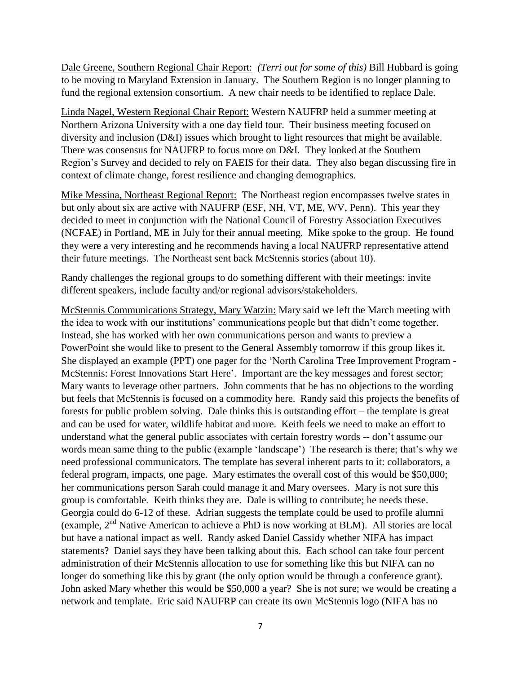Dale Greene, Southern Regional Chair Report: *(Terri out for some of this)* Bill Hubbard is going to be moving to Maryland Extension in January. The Southern Region is no longer planning to fund the regional extension consortium. A new chair needs to be identified to replace Dale.

Linda Nagel, Western Regional Chair Report: Western NAUFRP held a summer meeting at Northern Arizona University with a one day field tour. Their business meeting focused on diversity and inclusion (D&I) issues which brought to light resources that might be available. There was consensus for NAUFRP to focus more on D&I. They looked at the Southern Region's Survey and decided to rely on FAEIS for their data. They also began discussing fire in context of climate change, forest resilience and changing demographics.

Mike Messina, Northeast Regional Report: The Northeast region encompasses twelve states in but only about six are active with NAUFRP (ESF, NH, VT, ME, WV, Penn). This year they decided to meet in conjunction with the National Council of Forestry Association Executives (NCFAE) in Portland, ME in July for their annual meeting. Mike spoke to the group. He found they were a very interesting and he recommends having a local NAUFRP representative attend their future meetings. The Northeast sent back McStennis stories (about 10).

Randy challenges the regional groups to do something different with their meetings: invite different speakers, include faculty and/or regional advisors/stakeholders.

McStennis Communications Strategy, Mary Watzin: Mary said we left the March meeting with the idea to work with our institutions' communications people but that didn't come together. Instead, she has worked with her own communications person and wants to preview a PowerPoint she would like to present to the General Assembly tomorrow if this group likes it. She displayed an example (PPT) one pager for the 'North Carolina Tree Improvement Program - McStennis: Forest Innovations Start Here'. Important are the key messages and forest sector; Mary wants to leverage other partners. John comments that he has no objections to the wording but feels that McStennis is focused on a commodity here. Randy said this projects the benefits of forests for public problem solving. Dale thinks this is outstanding effort – the template is great and can be used for water, wildlife habitat and more. Keith feels we need to make an effort to understand what the general public associates with certain forestry words -- don't assume our words mean same thing to the public (example 'landscape') The research is there; that's why we need professional communicators. The template has several inherent parts to it: collaborators, a federal program, impacts, one page. Mary estimates the overall cost of this would be \$50,000; her communications person Sarah could manage it and Mary oversees. Mary is not sure this group is comfortable. Keith thinks they are. Dale is willing to contribute; he needs these. Georgia could do 6-12 of these. Adrian suggests the template could be used to profile alumni (example,  $2<sup>nd</sup>$  Native American to achieve a PhD is now working at BLM). All stories are local but have a national impact as well. Randy asked Daniel Cassidy whether NIFA has impact statements? Daniel says they have been talking about this. Each school can take four percent administration of their McStennis allocation to use for something like this but NIFA can no longer do something like this by grant (the only option would be through a conference grant). John asked Mary whether this would be \$50,000 a year? She is not sure; we would be creating a network and template. Eric said NAUFRP can create its own McStennis logo (NIFA has no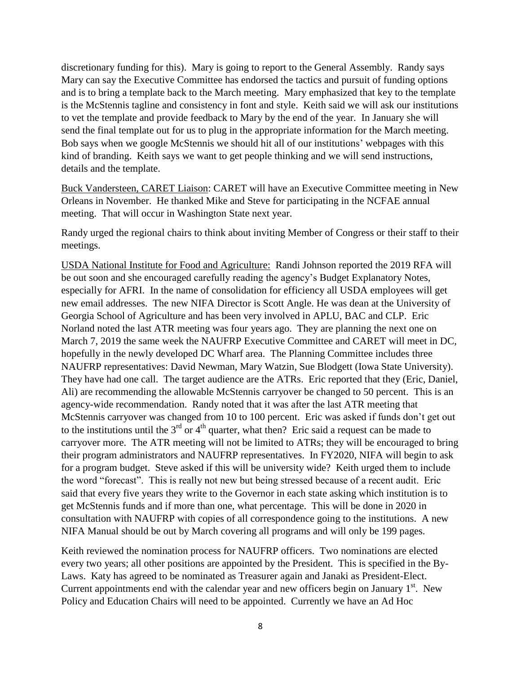discretionary funding for this). Mary is going to report to the General Assembly. Randy says Mary can say the Executive Committee has endorsed the tactics and pursuit of funding options and is to bring a template back to the March meeting. Mary emphasized that key to the template is the McStennis tagline and consistency in font and style. Keith said we will ask our institutions to vet the template and provide feedback to Mary by the end of the year. In January she will send the final template out for us to plug in the appropriate information for the March meeting. Bob says when we google McStennis we should hit all of our institutions' webpages with this kind of branding. Keith says we want to get people thinking and we will send instructions, details and the template.

Buck Vandersteen, CARET Liaison: CARET will have an Executive Committee meeting in New Orleans in November. He thanked Mike and Steve for participating in the NCFAE annual meeting. That will occur in Washington State next year.

Randy urged the regional chairs to think about inviting Member of Congress or their staff to their meetings.

USDA National Institute for Food and Agriculture: Randi Johnson reported the 2019 RFA will be out soon and she encouraged carefully reading the agency's Budget Explanatory Notes, especially for AFRI. In the name of consolidation for efficiency all USDA employees will get new email addresses. The new NIFA Director is Scott Angle. He was dean at the University of Georgia School of Agriculture and has been very involved in APLU, BAC and CLP. Eric Norland noted the last ATR meeting was four years ago. They are planning the next one on March 7, 2019 the same week the NAUFRP Executive Committee and CARET will meet in DC, hopefully in the newly developed DC Wharf area. The Planning Committee includes three NAUFRP representatives: David Newman, Mary Watzin, Sue Blodgett (Iowa State University). They have had one call. The target audience are the ATRs. Eric reported that they (Eric, Daniel, Ali) are recommending the allowable McStennis carryover be changed to 50 percent. This is an agency-wide recommendation. Randy noted that it was after the last ATR meeting that McStennis carryover was changed from 10 to 100 percent. Eric was asked if funds don't get out to the institutions until the  $3<sup>rd</sup>$  or  $4<sup>th</sup>$  quarter, what then? Eric said a request can be made to carryover more. The ATR meeting will not be limited to ATRs; they will be encouraged to bring their program administrators and NAUFRP representatives. In FY2020, NIFA will begin to ask for a program budget. Steve asked if this will be university wide? Keith urged them to include the word "forecast". This is really not new but being stressed because of a recent audit. Eric said that every five years they write to the Governor in each state asking which institution is to get McStennis funds and if more than one, what percentage. This will be done in 2020 in consultation with NAUFRP with copies of all correspondence going to the institutions. A new NIFA Manual should be out by March covering all programs and will only be 199 pages.

Keith reviewed the nomination process for NAUFRP officers. Two nominations are elected every two years; all other positions are appointed by the President. This is specified in the By-Laws. Katy has agreed to be nominated as Treasurer again and Janaki as President-Elect. Current appointments end with the calendar year and new officers begin on January  $1<sup>st</sup>$ . New Policy and Education Chairs will need to be appointed. Currently we have an Ad Hoc